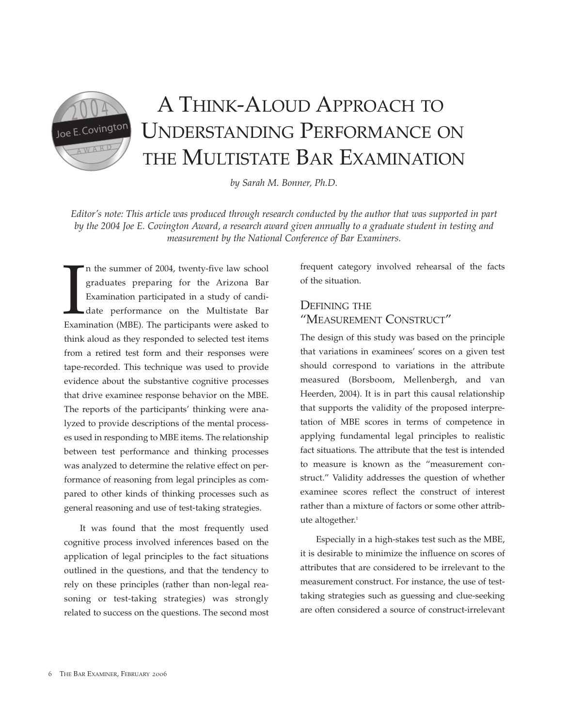A THINK-ALOUD APPROACH TO Joe E. Covington UNDERSTANDING PERFORMANCE ON THE MULTISTATE BAR EXAMINATION

*by Sarah M. Bonner, Ph.D.*

*Editor's note: This article was produced through research conducted by the author that was supported in part by the 2004 Joe E. Covington Award, a research award given annually to a graduate student in testing and measurement by the National Conference of Bar Examiners.*

In the summer of 2004, twenty-five law school graduates preparing for the Arizona Bar Examination participated in a study of candidate performance on the Multistate Bar Examination (MBE). The participants were asked to n the summer of 2004, twenty-five law school graduates preparing for the Arizona Bar Examination participated in a study of candidate performance on the Multistate Bar think aloud as they responded to selected test items from a retired test form and their responses were tape-recorded. This technique was used to provide evidence about the substantive cognitive processes that drive examinee response behavior on the MBE. The reports of the participants' thinking were analyzed to provide descriptions of the mental processes used in responding to MBE items. The relationship between test performance and thinking processes was analyzed to determine the relative effect on performance of reasoning from legal principles as compared to other kinds of thinking processes such as general reasoning and use of test-taking strategies.

It was found that the most frequently used cognitive process involved inferences based on the application of legal principles to the fact situations outlined in the questions, and that the tendency to rely on these principles (rather than non-legal reasoning or test-taking strategies) was strongly related to success on the questions. The second most

frequent category involved rehearsal of the facts of the situation.

# DEFINING THE "MEASUREMENT CONSTRUCT"

The design of this study was based on the principle that variations in examinees' scores on a given test should correspond to variations in the attribute measured (Borsboom, Mellenbergh, and van Heerden, 2004). It is in part this causal relationship that supports the validity of the proposed interpretation of MBE scores in terms of competence in applying fundamental legal principles to realistic fact situations. The attribute that the test is intended to measure is known as the "measurement construct." Validity addresses the question of whether examinee scores reflect the construct of interest rather than a mixture of factors or some other attribute altogether.<sup>1</sup>

Especially in a high-stakes test such as the MBE, it is desirable to minimize the influence on scores of attributes that are considered to be irrelevant to the measurement construct. For instance, the use of testtaking strategies such as guessing and clue-seeking are often considered a source of construct-irrelevant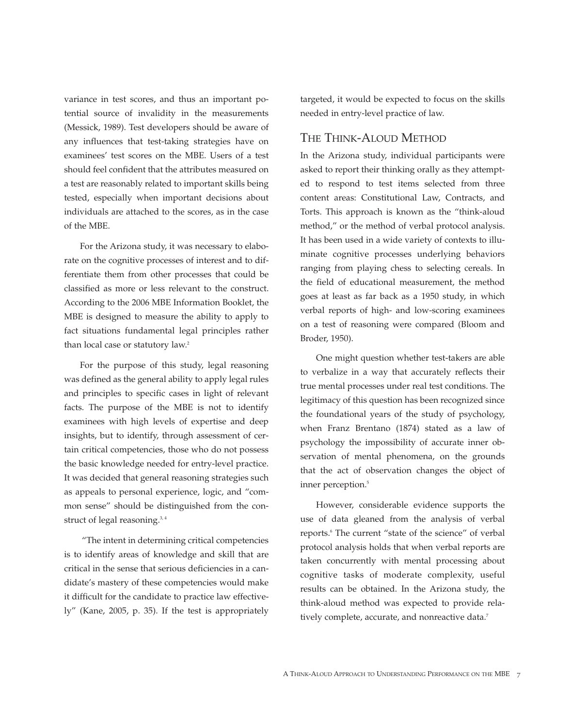variance in test scores, and thus an important potential source of invalidity in the measurements (Messick, 1989). Test developers should be aware of any influences that test-taking strategies have on examinees' test scores on the MBE. Users of a test should feel confident that the attributes measured on a test are reasonably related to important skills being tested, especially when important decisions about individuals are attached to the scores, as in the case of the MBE.

For the Arizona study, it was necessary to elaborate on the cognitive processes of interest and to differentiate them from other processes that could be classified as more or less relevant to the construct. According to the 2006 MBE Information Booklet, the MBE is designed to measure the ability to apply to fact situations fundamental legal principles rather than local case or statutory law.<sup>2</sup>

For the purpose of this study, legal reasoning was defined as the general ability to apply legal rules and principles to specific cases in light of relevant facts. The purpose of the MBE is not to identify examinees with high levels of expertise and deep insights, but to identify, through assessment of certain critical competencies, those who do not possess the basic knowledge needed for entry-level practice. It was decided that general reasoning strategies such as appeals to personal experience, logic, and "common sense" should be distinguished from the construct of legal reasoning.<sup>3,4</sup>

"The intent in determining critical competencies is to identify areas of knowledge and skill that are critical in the sense that serious deficiencies in a candidate's mastery of these competencies would make it difficult for the candidate to practice law effectively" (Kane, 2005, p. 35). If the test is appropriately

targeted, it would be expected to focus on the skills needed in entry-level practice of law.

## THE THINK-ALOUD METHOD

In the Arizona study, individual participants were asked to report their thinking orally as they attempted to respond to test items selected from three content areas: Constitutional Law, Contracts, and Torts. This approach is known as the "think-aloud method," or the method of verbal protocol analysis. It has been used in a wide variety of contexts to illuminate cognitive processes underlying behaviors ranging from playing chess to selecting cereals. In the field of educational measurement, the method goes at least as far back as a 1950 study, in which verbal reports of high- and low-scoring examinees on a test of reasoning were compared (Bloom and Broder, 1950).

One might question whether test-takers are able to verbalize in a way that accurately reflects their true mental processes under real test conditions. The legitimacy of this question has been recognized since the foundational years of the study of psychology, when Franz Brentano (1874) stated as a law of psychology the impossibility of accurate inner observation of mental phenomena, on the grounds that the act of observation changes the object of inner perception.<sup>5</sup>

However, considerable evidence supports the use of data gleaned from the analysis of verbal reports.<sup>6</sup> The current "state of the science" of verbal protocol analysis holds that when verbal reports are taken concurrently with mental processing about cognitive tasks of moderate complexity, useful results can be obtained. In the Arizona study, the think-aloud method was expected to provide relatively complete, accurate, and nonreactive data.<sup>7</sup>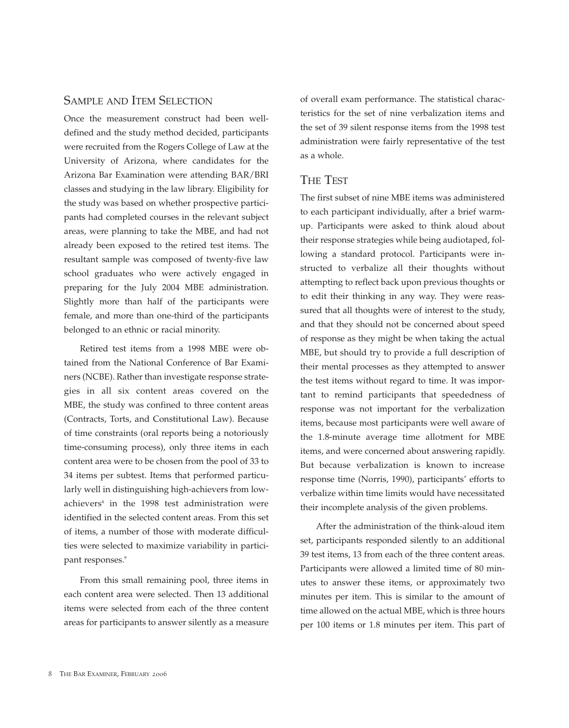## SAMPLE AND ITEM SELECTION

Once the measurement construct had been welldefined and the study method decided, participants were recruited from the Rogers College of Law at the University of Arizona, where candidates for the Arizona Bar Examination were attending BAR/BRI classes and studying in the law library. Eligibility for the study was based on whether prospective participants had completed courses in the relevant subject areas, were planning to take the MBE, and had not already been exposed to the retired test items. The resultant sample was composed of twenty-five law school graduates who were actively engaged in preparing for the July 2004 MBE administration. Slightly more than half of the participants were female, and more than one-third of the participants belonged to an ethnic or racial minority.

Retired test items from a 1998 MBE were obtained from the National Conference of Bar Examiners (NCBE). Rather than investigate response strategies in all six content areas covered on the MBE, the study was confined to three content areas (Contracts, Torts, and Constitutional Law). Because of time constraints (oral reports being a notoriously time-consuming process), only three items in each content area were to be chosen from the pool of 33 to 34 items per subtest. Items that performed particularly well in distinguishing high-achievers from lowachievers<sup>8</sup> in the 1998 test administration were identified in the selected content areas. From this set of items, a number of those with moderate difficulties were selected to maximize variability in participant responses.<sup>9</sup>

From this small remaining pool, three items in each content area were selected. Then 13 additional items were selected from each of the three content areas for participants to answer silently as a measure

of overall exam performance. The statistical characteristics for the set of nine verbalization items and the set of 39 silent response items from the 1998 test administration were fairly representative of the test as a whole.

## THE TEST

The first subset of nine MBE items was administered to each participant individually, after a brief warmup. Participants were asked to think aloud about their response strategies while being audiotaped, following a standard protocol. Participants were instructed to verbalize all their thoughts without attempting to reflect back upon previous thoughts or to edit their thinking in any way. They were reassured that all thoughts were of interest to the study, and that they should not be concerned about speed of response as they might be when taking the actual MBE, but should try to provide a full description of their mental processes as they attempted to answer the test items without regard to time. It was important to remind participants that speededness of response was not important for the verbalization items, because most participants were well aware of the 1.8-minute average time allotment for MBE items, and were concerned about answering rapidly. But because verbalization is known to increase response time (Norris, 1990), participants' efforts to verbalize within time limits would have necessitated their incomplete analysis of the given problems.

After the administration of the think-aloud item set, participants responded silently to an additional 39 test items, 13 from each of the three content areas. Participants were allowed a limited time of 80 minutes to answer these items, or approximately two minutes per item. This is similar to the amount of time allowed on the actual MBE, which is three hours per 100 items or 1.8 minutes per item. This part of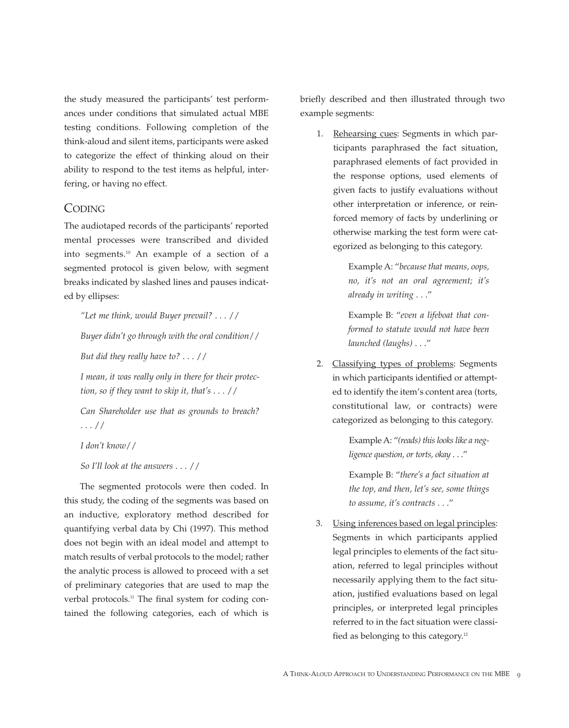the study measured the participants' test performances under conditions that simulated actual MBE testing conditions. Following completion of the think-aloud and silent items, participants were asked to categorize the effect of thinking aloud on their ability to respond to the test items as helpful, interfering, or having no effect.

## **CODING**

The audiotaped records of the participants' reported mental processes were transcribed and divided into segments.10 An example of a section of a segmented protocol is given below, with segment breaks indicated by slashed lines and pauses indicated by ellipses:

*"Let me think, would Buyer prevail?* . . . //

*Buyer didn't go through with the oral condition*//

*But did they really have to?* . . . //

*I mean, it was really only in there for their protection, so if they want to skip it, that's* . . . //

*Can Shareholder use that as grounds to breach?* . . . //

*I don't know*//

*So I'll look at the answers* . . . //

The segmented protocols were then coded. In this study, the coding of the segments was based on an inductive, exploratory method described for quantifying verbal data by Chi (1997). This method does not begin with an ideal model and attempt to match results of verbal protocols to the model; rather the analytic process is allowed to proceed with a set of preliminary categories that are used to map the verbal protocols.<sup>11</sup> The final system for coding contained the following categories, each of which is

briefly described and then illustrated through two example segments:

1. Rehearsing cues: Segments in which participants paraphrased the fact situation, paraphrased elements of fact provided in the response options, used elements of given facts to justify evaluations without other interpretation or inference, or reinforced memory of facts by underlining or otherwise marking the test form were categorized as belonging to this category.

> Example A: "*because that means, oops, no, it's not an oral agreement; it's already in writing* . . ."

> Example B: "*even a lifeboat that conformed to statute would not have been launched (laughs)* . . ."

2. Classifying types of problems: Segments in which participants identified or attempted to identify the item's content area (torts, constitutional law, or contracts) were categorized as belonging to this category.

> Example A: "*(reads) this looks like a negligence question, or torts, okay* . . ."

Example B: "*there's a fact situation at the top, and then, let's see, some things to assume, it's contracts* . . ."

3. Using inferences based on legal principles: Segments in which participants applied legal principles to elements of the fact situation, referred to legal principles without necessarily applying them to the fact situation, justified evaluations based on legal principles, or interpreted legal principles referred to in the fact situation were classified as belonging to this category.<sup>12</sup>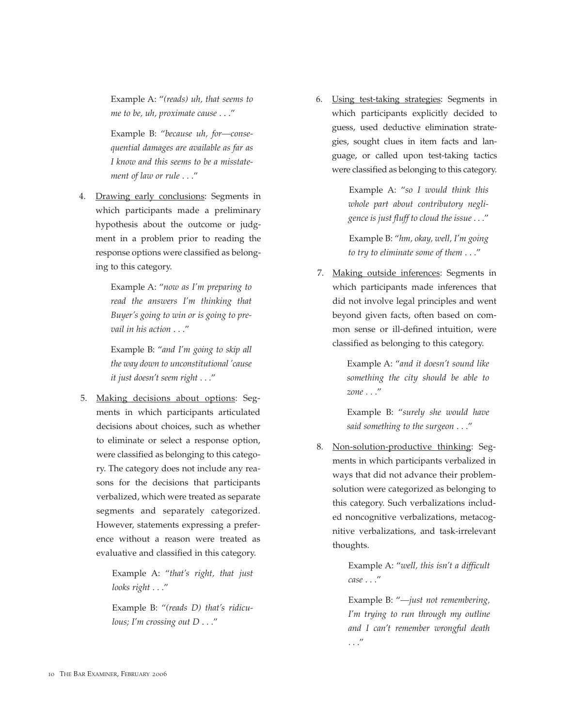Example A: "*(reads) uh, that seems to me to be, uh, proximate cause* . . ."

Example B: "*because uh, for—consequential damages are available as far as I know and this seems to be a misstatement of law or rule* . . ."

4. Drawing early conclusions: Segments in which participants made a preliminary hypothesis about the outcome or judgment in a problem prior to reading the response options were classified as belonging to this category.

> Example A: "*now as I'm preparing to read the answers I'm thinking that Buyer's going to win or is going to prevail in his action* . . ."

> Example B: "*and I'm going to skip all the way down to unconstitutional 'cause it just doesn't seem right* . . ."

5. Making decisions about options: Segments in which participants articulated decisions about choices, such as whether to eliminate or select a response option, were classified as belonging to this category. The category does not include any reasons for the decisions that participants verbalized, which were treated as separate segments and separately categorized. However, statements expressing a preference without a reason were treated as evaluative and classified in this category.

> Example A: "*that's right, that just looks right* . . ."

> Example B: "*(reads D) that's ridiculous; I'm crossing out D* . . ."

6. Using test-taking strategies: Segments in which participants explicitly decided to guess, used deductive elimination strategies, sought clues in item facts and language, or called upon test-taking tactics were classified as belonging to this category.

> Example A: "*so I would think this whole part about contributory negligence is just fluff to cloud the issue* . . ."

> Example B: "*hm, okay, well, I'm going to try to eliminate some of them* . . ."

7. Making outside inferences: Segments in which participants made inferences that did not involve legal principles and went beyond given facts, often based on common sense or ill-defined intuition, were classified as belonging to this category.

> Example A: "*and it doesn't sound like something the city should be able to zone* . . ."

Example B: "*surely she would have said something to the surgeon* . . ."

8. Non-solution-productive thinking: Segments in which participants verbalized in ways that did not advance their problemsolution were categorized as belonging to this category. Such verbalizations included noncognitive verbalizations, metacognitive verbalizations, and task-irrelevant thoughts.

> Example A: "*well, this isn't a difficult case* . . ."

> Example B: "*—just not remembering, I'm trying to run through my outline and I can't remember wrongful death* . . ."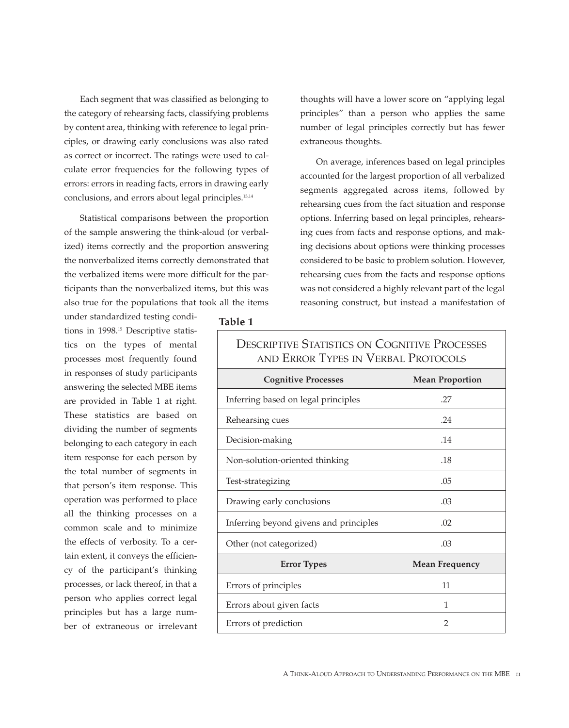Each segment that was classified as belonging to the category of rehearsing facts, classifying problems by content area, thinking with reference to legal principles, or drawing early conclusions was also rated as correct or incorrect. The ratings were used to calculate error frequencies for the following types of errors: errors in reading facts, errors in drawing early conclusions, and errors about legal principles.13,14

Statistical comparisons between the proportion of the sample answering the think-aloud (or verbalized) items correctly and the proportion answering the nonverbalized items correctly demonstrated that the verbalized items were more difficult for the participants than the nonverbalized items, but this was also true for the populations that took all the items

under standardized testing conditions in 1998.<sup>15</sup> Descriptive statistics on the types of mental processes most frequently found in responses of study participants answering the selected MBE items are provided in Table 1 at right. These statistics are based on dividing the number of segments belonging to each category in each item response for each person by the total number of segments in that person's item response. This operation was performed to place all the thinking processes on a common scale and to minimize the effects of verbosity. To a certain extent, it conveys the efficiency of the participant's thinking processes, or lack thereof, in that a person who applies correct legal principles but has a large number of extraneous or irrelevant

thoughts will have a lower score on "applying legal principles" than a person who applies the same number of legal principles correctly but has fewer extraneous thoughts.

On average, inferences based on legal principles accounted for the largest proportion of all verbalized segments aggregated across items, followed by rehearsing cues from the fact situation and response options. Inferring based on legal principles, rehearsing cues from facts and response options, and making decisions about options were thinking processes considered to be basic to problem solution. However, rehearsing cues from the facts and response options was not considered a highly relevant part of the legal reasoning construct, but instead a manifestation of

#### **Table 1**

| AND ERROR TYPES IN VERBAL PROTOCOLS    |                        |
|----------------------------------------|------------------------|
| <b>Cognitive Processes</b>             | <b>Mean Proportion</b> |
| Inferring based on legal principles    | .27                    |
| Rehearsing cues                        | .24                    |
| Decision-making                        | .14                    |
| Non-solution-oriented thinking         | .18                    |
| Test-strategizing                      | .05                    |
| Drawing early conclusions              | .03                    |
| Inferring beyond givens and principles | .02                    |
| Other (not categorized)                | .03                    |
| <b>Error Types</b>                     | <b>Mean Frequency</b>  |
| Errors of principles                   | 11                     |
| Errors about given facts               | 1                      |
| Errors of prediction                   | $\overline{2}$         |

DESCRIPTIVE STATISTICS ON COCNITIVE PROCESSES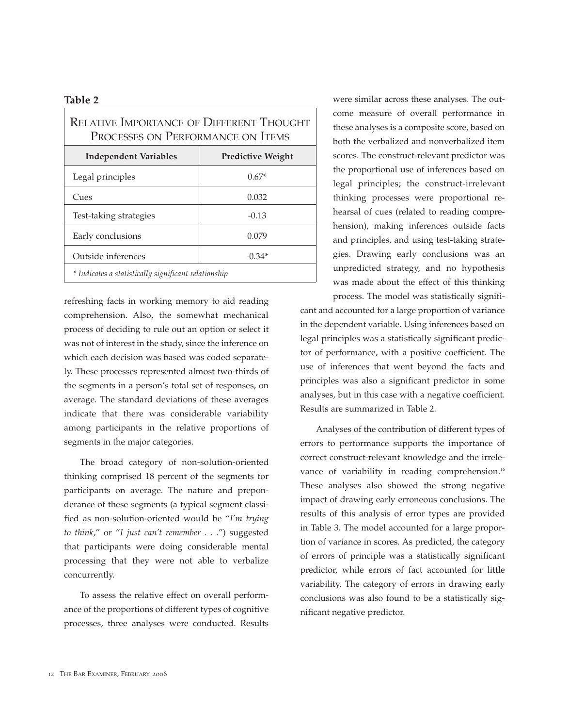#### **Table 2**

| <b>RELATIVE IMPORTANCE OF DIFFERENT THOUGHT</b><br>PROCESSES ON PERFORMANCE ON ITEMS |                          |  |
|--------------------------------------------------------------------------------------|--------------------------|--|
| <b>Independent Variables</b>                                                         | <b>Predictive Weight</b> |  |
| Legal principles                                                                     | $0.67*$                  |  |
| Cues                                                                                 | 0.032                    |  |
| Test-taking strategies                                                               | $-0.13$                  |  |
| Early conclusions                                                                    | 0.079                    |  |
| Outside inferences                                                                   | $-0.34*$                 |  |
| * Indicates a statistically significant relationship                                 |                          |  |

refreshing facts in working memory to aid reading comprehension. Also, the somewhat mechanical process of deciding to rule out an option or select it was not of interest in the study, since the inference on which each decision was based was coded separately. These processes represented almost two-thirds of the segments in a person's total set of responses, on average. The standard deviations of these averages indicate that there was considerable variability among participants in the relative proportions of segments in the major categories.

The broad category of non-solution-oriented thinking comprised 18 percent of the segments for participants on average. The nature and preponderance of these segments (a typical segment classified as non-solution-oriented would be "*I'm trying to think*," or "*I just can't remember* . . .") suggested that participants were doing considerable mental processing that they were not able to verbalize concurrently.

To assess the relative effect on overall performance of the proportions of different types of cognitive processes, three analyses were conducted. Results were similar across these analyses. The outcome measure of overall performance in these analyses is a composite score, based on both the verbalized and nonverbalized item scores. The construct-relevant predictor was the proportional use of inferences based on legal principles; the construct-irrelevant thinking processes were proportional rehearsal of cues (related to reading comprehension), making inferences outside facts and principles, and using test-taking strategies. Drawing early conclusions was an unpredicted strategy, and no hypothesis was made about the effect of this thinking

process. The model was statistically significant and accounted for a large proportion of variance in the dependent variable. Using inferences based on legal principles was a statistically significant predictor of performance, with a positive coefficient. The use of inferences that went beyond the facts and principles was also a significant predictor in some analyses, but in this case with a negative coefficient. Results are summarized in Table 2.

Analyses of the contribution of different types of errors to performance supports the importance of correct construct-relevant knowledge and the irrelevance of variability in reading comprehension.<sup>16</sup> These analyses also showed the strong negative impact of drawing early erroneous conclusions. The results of this analysis of error types are provided in Table 3. The model accounted for a large proportion of variance in scores. As predicted, the category of errors of principle was a statistically significant predictor, while errors of fact accounted for little variability. The category of errors in drawing early conclusions was also found to be a statistically significant negative predictor.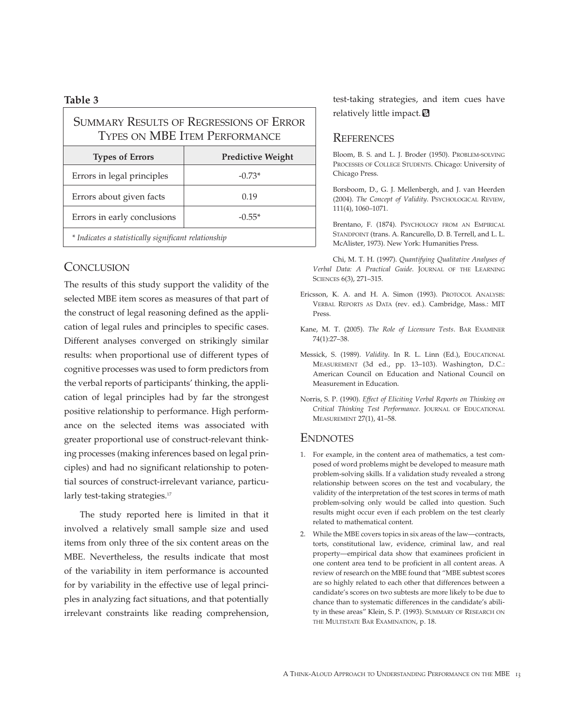#### **Table 3**

| <b>SUMMARY RESULTS OF REGRESSIONS OF ERROR</b><br><b>TYPES ON MBE ITEM PERFORMANCE</b> |                          |  |
|----------------------------------------------------------------------------------------|--------------------------|--|
| <b>Types of Errors</b>                                                                 | <b>Predictive Weight</b> |  |
| Errors in legal principles                                                             | $-0.73*$                 |  |
| Errors about given facts                                                               | 0.19                     |  |
| Errors in early conclusions                                                            | $-0.55*$                 |  |
| * Indicates a statistically significant relationship                                   |                          |  |

## **CONCLUSION**

The results of this study support the validity of the selected MBE item scores as measures of that part of the construct of legal reasoning defined as the application of legal rules and principles to specific cases. Different analyses converged on strikingly similar results: when proportional use of different types of cognitive processes was used to form predictors from the verbal reports of participants' thinking, the application of legal principles had by far the strongest positive relationship to performance. High performance on the selected items was associated with greater proportional use of construct-relevant thinking processes (making inferences based on legal principles) and had no significant relationship to potential sources of construct-irrelevant variance, particularly test-taking strategies.<sup>17</sup>

The study reported here is limited in that it involved a relatively small sample size and used items from only three of the six content areas on the MBE. Nevertheless, the results indicate that most of the variability in item performance is accounted for by variability in the effective use of legal principles in analyzing fact situations, and that potentially irrelevant constraints like reading comprehension,

test-taking strategies, and item cues have relatively little impact.

### **REFERENCES**

Bloom, B. S. and L. J. Broder (1950). PROBLEM-SOLVING PROCESSES OF COLLEGE STUDENTS. Chicago: University of Chicago Press.

Borsboom, D., G. J. Mellenbergh, and J. van Heerden (2004). *The Concept of Validity*. PSYCHOLOGICAL REVIEW, 111(4), 1060–1071.

Brentano, F. (1874). PSYCHOLOGY FROM AN EMPIRICAL STANDPOINT (trans. A. Rancurello, D. B. Terrell, and L. L. McAlister, 1973). New York: Humanities Press.

Chi, M. T. H. (1997). *Quantifying Qualitative Analyses of Verbal Data: A Practical Guide*. JOURNAL OF THE LEARNING SCIENCES 6(3), 271–315.

- Ericsson, K. A. and H. A. Simon (1993). PROTOCOL ANALYSIS: VERBAL REPORTS AS DATA (rev. ed.). Cambridge, Mass.: MIT Press.
- Kane, M. T. (2005). *The Role of Licensure Tests*. BAR EXAMINER 74(1):27–38.
- Messick, S. (1989). *Validity*. In R. L. Linn (Ed.), EDUCATIONAL MEASUREMENT (3d ed., pp. 13–103). Washington, D.C.: American Council on Education and National Council on Measurement in Education.
- Norris, S. P. (1990). *Effect of Eliciting Verbal Reports on Thinking on Critical Thinking Test Performance*. JOURNAL OF EDUCATIONAL MEASUREMENT 27(1), 41–58.

#### **ENDNOTES**

- 1. For example, in the content area of mathematics, a test composed of word problems might be developed to measure math problem-solving skills. If a validation study revealed a strong relationship between scores on the test and vocabulary, the validity of the interpretation of the test scores in terms of math problem-solving only would be called into question. Such results might occur even if each problem on the test clearly related to mathematical content.
- 2. While the MBE covers topics in six areas of the law—contracts, torts, constitutional law, evidence, criminal law, and real property—empirical data show that examinees proficient in one content area tend to be proficient in all content areas. A review of research on the MBE found that "MBE subtest scores are so highly related to each other that differences between a candidate's scores on two subtests are more likely to be due to chance than to systematic differences in the candidate's ability in these areas" Klein, S. P. (1993). SUMMARY OF RESEARCH ON THE MULTISTATE BAR EXAMINATION, p. 18.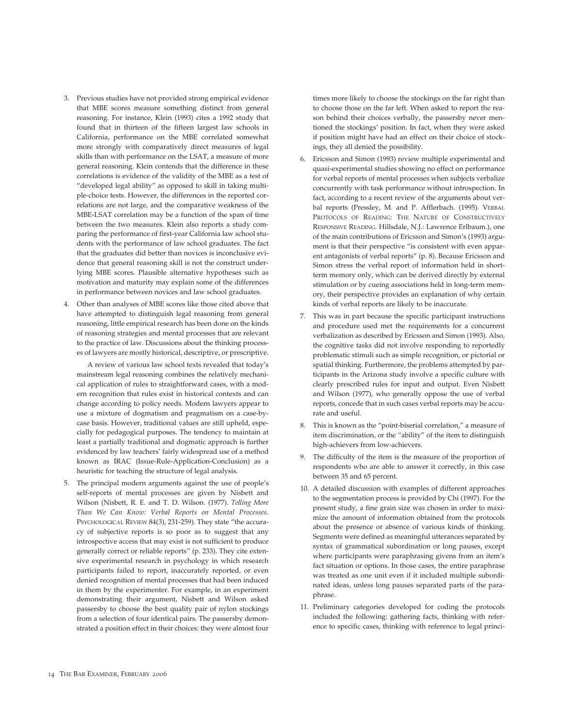- 3. Previous studies have not provided strong empirical evidence that MBE scores measure something distinct from general reasoning. For instance, Klein (1993) cites a 1992 study that found that in thirteen of the fifteen largest law schools in California, performance on the MBE correlated somewhat more strongly with comparatively direct measures of legal skills than with performance on the LSAT, a measure of more general reasoning. Klein contends that the difference in these correlations is evidence of the validity of the MBE as a test of "developed legal ability" as opposed to skill in taking multiple-choice tests. However, the differences in the reported correlations are not large, and the comparative weakness of the MBE-LSAT correlation may be a function of the span of time between the two measures. Klein also reports a study comparing the performance of first-year California law school students with the performance of law school graduates. The fact that the graduates did better than novices is inconclusive evidence that general reasoning skill is not the construct underlying MBE scores. Plausible alternative hypotheses such as motivation and maturity may explain some of the differences in performance between novices and law school graduates.
- 4. Other than analyses of MBE scores like those cited above that have attempted to distinguish legal reasoning from general reasoning, little empirical research has been done on the kinds of reasoning strategies and mental processes that are relevant to the practice of law. Discussions about the thinking processes of lawyers are mostly historical, descriptive, or prescriptive.

A review of various law school texts revealed that today's mainstream legal reasoning combines the relatively mechanical application of rules to straightforward cases, with a modern recognition that rules exist in historical contexts and can change according to policy needs. Modern lawyers appear to use a mixture of dogmatism and pragmatism on a case-bycase basis. However, traditional values are still upheld, especially for pedagogical purposes. The tendency to maintain at least a partially traditional and dogmatic approach is further evidenced by law teachers' fairly widespread use of a method known as IRAC (Issue-Rule-Application-Conclusion) as a heuristic for teaching the structure of legal analysis.

5. The principal modern arguments against the use of people's self-reports of mental processes are given by Nisbett and Wilson (Nisbett, R. E. and T. D. Wilson. (1977). *Telling More Than We Can Know: Verbal Reports on Mental Processes*. PSYCHOLOGICAL REVIEW 84(3), 231-259). They state "the accuracy of subjective reports is so poor as to suggest that any introspective access that may exist is not sufficient to produce generally correct or reliable reports" (p. 233). They cite extensive experimental research in psychology in which research participants failed to report, inaccurately reported, or even denied recognition of mental processes that had been induced in them by the experimenter. For example, in an experiment demonstrating their argument, Nisbett and Wilson asked passersby to choose the best quality pair of nylon stockings from a selection of four identical pairs. The passersby demonstrated a position effect in their choices: they were almost four

times more likely to choose the stockings on the far right than to choose those on the far left. When asked to report the reason behind their choices verbally, the passersby never mentioned the stockings' position. In fact, when they were asked if position might have had an effect on their choice of stockings, they all denied the possibility.

- 6. Ericsson and Simon (1993) review multiple experimental and quasi-experimental studies showing no effect on performance for verbal reports of mental processes when subjects verbalize concurrently with task performance without introspection. In fact, according to a recent review of the arguments about verbal reports (Pressley, M. and P. Afflerbach. (1995). VERBAL PROTOCOLS OF READING: THE NATURE OF CONSTRUCTIVELY RESPONSIVE READING. Hillsdale, N.J.: Lawrence Erlbaum.), one of the main contributions of Ericsson and Simon's (1993) argument is that their perspective "is consistent with even apparent antagonists of verbal reports" (p. 8). Because Ericsson and Simon stress the verbal report of information held in shortterm memory only, which can be derived directly by external stimulation or by cueing associations held in long-term memory, their perspective provides an explanation of why certain kinds of verbal reports are likely to be inaccurate.
- 7. This was in part because the specific participant instructions and procedure used met the requirements for a concurrent verbalization as described by Ericsson and Simon (1993). Also, the cognitive tasks did not involve responding to reportedly problematic stimuli such as simple recognition, or pictorial or spatial thinking. Furthermore, the problems attempted by participants in the Arizona study involve a specific culture with clearly prescribed rules for input and output. Even Nisbett and Wilson (1977), who generally oppose the use of verbal reports, concede that in such cases verbal reports may be accurate and useful.
- 8. This is known as the "point-biserial correlation," a measure of item discrimination, or the "ability" of the item to distinguish high-achievers from low-achievers.
- 9. The difficulty of the item is the measure of the proportion of respondents who are able to answer it correctly, in this case between 35 and 65 percent.
- 10. A detailed discussion with examples of different approaches to the segmentation process is provided by Chi (1997). For the present study, a fine grain size was chosen in order to maximize the amount of information obtained from the protocols about the presence or absence of various kinds of thinking. Segments were defined as meaningful utterances separated by syntax of grammatical subordination or long pauses, except where participants were paraphrasing givens from an item's fact situation or options. In those cases, the entire paraphrase was treated as one unit even if it included multiple subordinated ideas, unless long pauses separated parts of the paraphrase.
- 11. Preliminary categories developed for coding the protocols included the following: gathering facts, thinking with reference to specific cases, thinking with reference to legal princi-